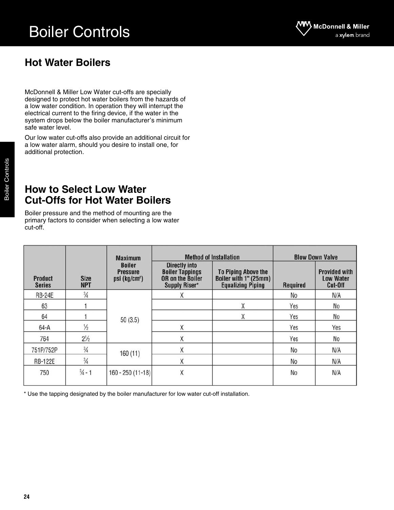# Boiler Controls



## **Hot Water Boilers**

McDonnell & Miller Low Water cut-offs are specially designed to protect hot water boilers from the hazards of a low water condition. In operation they will interrupt the electrical current to the firing device, if the water in the system drops below the boiler manufacturer's minimum safe water level.

Our low water cut-offs also provide an additional circuit for a low water alarm, should you desire to install one, for additional protection.

### **How to Select Low Water Cut-Offs for Hot Water Boilers**

Boiler pressure and the method of mounting are the primary factors to consider when selecting a low water cut-off.

|                                 | <b>Size</b><br><b>NPT</b> | <b>Maximum</b>                                                |                                                                                            | <b>Method of Installation</b>                                                   | <b>Blow Down Valve</b> |                                                     |  |
|---------------------------------|---------------------------|---------------------------------------------------------------|--------------------------------------------------------------------------------------------|---------------------------------------------------------------------------------|------------------------|-----------------------------------------------------|--|
| <b>Product</b><br><b>Series</b> |                           | <b>Boiler</b><br><b>Pressure</b><br>psi (kg/cm <sup>2</sup> ) | <b>Directly into</b><br><b>Boiler Tappings</b><br><b>OR</b> on the Boiler<br>Supply Riser* | <b>To Piping Above the</b><br>Boiler with 1" (25mm)<br><b>Equalizing Piping</b> | <b>Required</b>        | <b>Provided with</b><br><b>Low Water</b><br>Cut-Off |  |
| <b>RB-24E</b>                   | $\frac{3}{4}$             |                                                               | Χ                                                                                          |                                                                                 | No                     | N/A                                                 |  |
| 63                              |                           |                                                               |                                                                                            | Χ                                                                               | Yes                    | No                                                  |  |
| 64                              |                           | 50(3.5)                                                       |                                                                                            | Χ                                                                               | Yes                    | No                                                  |  |
| $64-A$                          | $\frac{1}{2}$             |                                                               | Χ                                                                                          |                                                                                 | Yes                    | Yes                                                 |  |
| 764                             | $2^{1/2}$                 |                                                               | X                                                                                          |                                                                                 | Yes                    | No                                                  |  |
| 751P/752P                       | $\frac{3}{4}$             | 160(11)                                                       | X                                                                                          |                                                                                 | No                     | N/A                                                 |  |
| <b>RB-122E</b>                  | $\frac{3}{4}$             |                                                               | Χ                                                                                          |                                                                                 | N <sub>0</sub>         | N/A                                                 |  |
| 750                             | $\frac{3}{4}$ - 1         | $160 - 250(11 - 18)$                                          | X                                                                                          |                                                                                 | No                     | N/A                                                 |  |

\* Use the tapping designated by the boiler manufacturer for low water cut-off installation.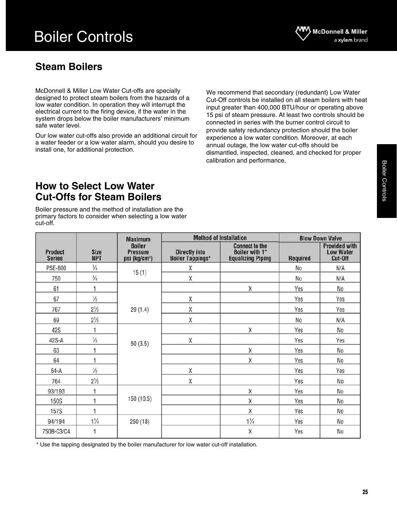# Boiler Controls

# **Steam Boilers**

McDonnell & Miller Low Water Cut-offs are specially designed to protect steam boilers from the hazards of a low water condition. In operation they will interrupt the electrical current to the firing device, if the water in the system drops below the boiler manufacturers' minimum safe water level.

Our low water cut-offs also provide an additional circuit for a water feeder or a low water alarm, should you desire to install one, for additional protection.

We recommend that secondary (redundant) Low Water Cut-Off controls be installed on all steam boilers with heat input greater than 400,000 BTU/hour or operating above 15 psi of steam pressure. At least two controls should be connected in series with the burner control circuit to provide safety redundancy protection should the boiler experience a low water condition. Moreover, at each annual outage, the low water cut-offs should be dismantled, inspected, cleaned, and checked for proper calibration and performance.

### **How to Select Low Water Cut-Offs for Steam Boilers**

Boiler pressure and the method of installation are the primary factors to consider when selecting a low water cut-off.

|                                 |                           | <b>Maximum</b>                                                |                                                 | <b>Method of Installation</b>                                              | <b>Blow Down Valve</b> |                                                     |  |
|---------------------------------|---------------------------|---------------------------------------------------------------|-------------------------------------------------|----------------------------------------------------------------------------|------------------------|-----------------------------------------------------|--|
| <b>Product</b><br><b>Series</b> | <b>Size</b><br><b>NPT</b> | <b>Boiler</b><br><b>Pressure</b><br>psi (kg/cm <sup>2</sup> ) | <b>Directly into</b><br><b>Boiler Tappings*</b> | <b>Connect to the</b><br><b>Boiler with 1"</b><br><b>Equalizing Piping</b> | <b>Required</b>        | <b>Provided with</b><br><b>Low Water</b><br>Cut-Off |  |
| <b>PSE-800</b>                  | $\frac{3}{4}$             | 15(1)                                                         | Χ                                               |                                                                            | No                     | N/A                                                 |  |
| 750                             | $\frac{3}{4}$             |                                                               | Χ                                               |                                                                            | No                     | N/A                                                 |  |
| 61                              |                           |                                                               |                                                 | X                                                                          | Yes                    | No                                                  |  |
| 67                              | $\frac{1}{2}$             |                                                               | Χ                                               |                                                                            | Yes                    | Yes                                                 |  |
| 767                             | $2^{1/2}$                 | 20(1.4)                                                       | X                                               |                                                                            | Yes                    | Yes                                                 |  |
| 69                              | $2\frac{1}{2}$            |                                                               | X                                               |                                                                            | No                     | N/A                                                 |  |
| 42S                             |                           |                                                               |                                                 | X                                                                          | Yes                    | No                                                  |  |
| 42S-A                           | $\frac{1}{2}$             | 50(3.5)                                                       | X                                               |                                                                            | Yes                    | Yes                                                 |  |
| 63                              | 1                         |                                                               |                                                 | Χ                                                                          | Yes                    | No                                                  |  |
| 64                              | 1                         |                                                               |                                                 | Χ                                                                          | Yes                    | No                                                  |  |
| $64-A$                          | $\frac{1}{2}$             |                                                               | X                                               |                                                                            | Yes                    | Yes                                                 |  |
| 764                             | $2\frac{1}{2}$            |                                                               | X                                               |                                                                            | Yes                    | No                                                  |  |
| 93/193                          | 1                         |                                                               |                                                 | X                                                                          | Yes                    | No                                                  |  |
| <b>150S</b>                     | 1                         | 150 (10.5)                                                    |                                                 | Χ                                                                          | Yes                    | No                                                  |  |
| <b>157S</b>                     | 1                         |                                                               |                                                 | X                                                                          | Yes                    | No                                                  |  |
| 94/194                          | $1\frac{1}{4}$            | 250(18)                                                       |                                                 | $1\frac{1}{4}$                                                             | Yes                    | No                                                  |  |
| 750B-C3/C4                      | 1                         |                                                               |                                                 | X                                                                          | Yes                    | No                                                  |  |

\* Use the tapping designated by the boiler manufacturer for low water cut-off installation.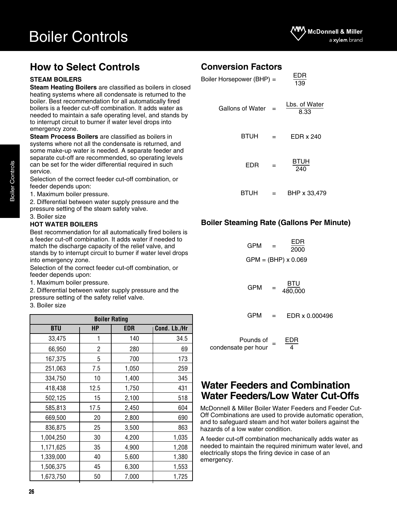# **How to Select Controls**

#### **STEAM BOILERS**

**Steam Heating Boilers** are classified as boilers in closed heating systems where all condensate is returned to the boiler. Best recommendation for all automatically fired boilers is a feeder cut-off combination. It adds water as needed to maintain a safe operating level, and stands by to interrupt circuit to burner if water level drops into emergency zone.

**Steam Process Boilers** are classified as boilers in systems where not all the condensate is returned, and some make-up water is needed. A separate feeder and separate cut-off are recommended, so operating levels can be set for the wider differential required in such service.

Selection of the correct feeder cut-off combination, or feeder depends upon:

1. Maximum boiler pressure.

2. Differential between water supply pressure and the pressure setting of the steam safety valve.

3. Boiler size

#### **HOT WATER BOILERS**

Best recommendation for all automatically fired boilers is a feeder cut-off combination. It adds water if needed to match the discharge capacity of the relief valve, and stands by to interrupt circuit to burner if water level drops into emergency zone.

Selection of the correct feeder cut-off combination, or feeder depends upon:

- 1. Maximum boiler pressure.
- 2. Differential between water supply pressure and the
- pressure setting of the safety relief valve.

#### 3. Boiler size

| <b>Boiler Rating</b> |      |       |              |  |  |  |  |
|----------------------|------|-------|--------------|--|--|--|--|
| <b>BTU</b>           | HP   | EDR   | Cond. Lb./Hr |  |  |  |  |
| 33,475               | 1    | 140   | 34.5         |  |  |  |  |
| 66,950               | 2    | 280   | 69           |  |  |  |  |
| 167,375              | 5    | 700   | 173          |  |  |  |  |
| 251,063              | 7.5  | 1,050 | 259          |  |  |  |  |
| 334,750              | 10   | 1,400 | 345          |  |  |  |  |
| 418,438              | 12.5 | 1,750 | 431          |  |  |  |  |
| 502,125              | 15   | 2,100 | 518          |  |  |  |  |
| 585,813              | 17.5 | 2,450 | 604          |  |  |  |  |
| 669,500              | 20   | 2,800 | 690          |  |  |  |  |
| 836,875              | 25   | 3,500 | 863          |  |  |  |  |
| 1,004,250            | 30   | 4,200 | 1,035        |  |  |  |  |
| 1,171,625            | 35   | 4,900 | 1,208        |  |  |  |  |
| 1,339,000            | 40   | 5,600 | 1,380        |  |  |  |  |
| 1,506,375            | 45   | 6,300 | 1,553        |  |  |  |  |
| 1,673,750            | 50   | 7,000 | 1,725        |  |  |  |  |

### **Conversion Factors**

| EDR<br>139            |     | Boiler Horsepower (BHP) = |  |  |  |  |  |
|-----------------------|-----|---------------------------|--|--|--|--|--|
| Lbs. of Water<br>8.33 |     | <b>Gallons of Water</b>   |  |  |  |  |  |
| EDR x 240             | $=$ | <b>BTUH</b>               |  |  |  |  |  |
| BTUH<br>240           |     | EDR                       |  |  |  |  |  |
| BHP x 33,479          |     | BTUH                      |  |  |  |  |  |

#### **Boiler Steaming Rate (Gallons Per Minute)**

| GPM | = | EDR<br>2000                |  |
|-----|---|----------------------------|--|
|     |   | $GPM = (BHP) \times 0.069$ |  |
|     |   | RTU.                       |  |

$$
GPM = \frac{BTU}{480,000}
$$

EDR x 0.000496  $GPM =$ 

| Pounds of           | EDR |
|---------------------|-----|
| condensate per hour | 4   |

### **Water Feeders and Combination Water Feeders/Low Water Cut-Offs**

McDonnell & Miller Boiler Water Feeders and Feeder Cut-Off Combinations are used to provide automatic operation, and to safeguard steam and hot water boilers against the hazards of a low water condition.

A feeder cut-off combination mechanically adds water as needed to maintain the required minimum water level, and electrically stops the firing device in case of an emergency.